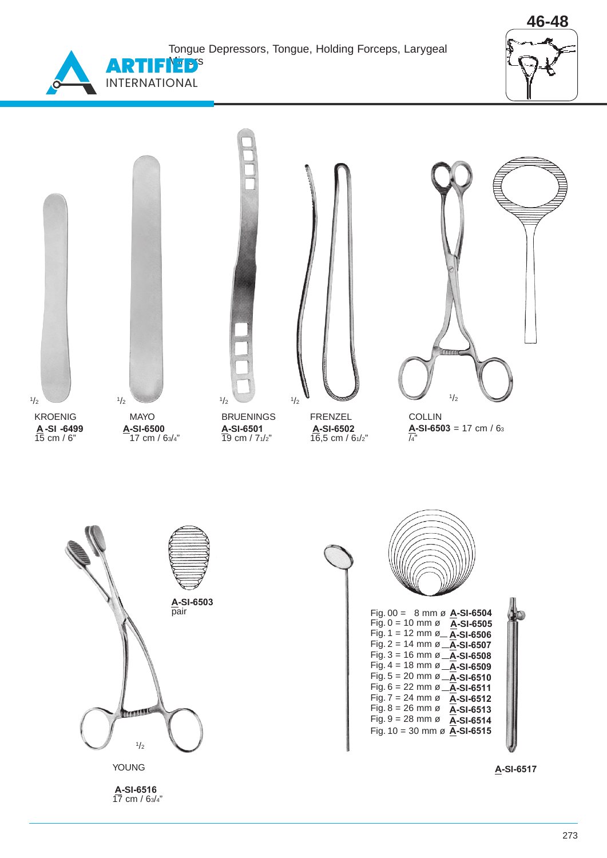Tongue Depressors, Tongue, Holding Forceps, Larygeal